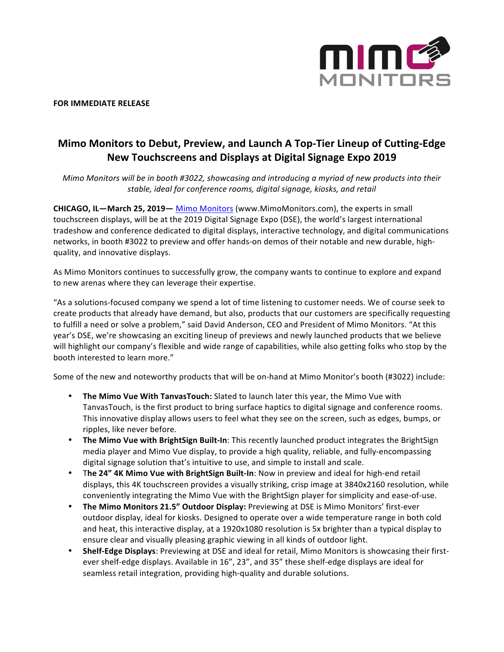

**FOR IMMEDIATE RELEASE** 

## **Mimo Monitors to Debut, Preview, and Launch A Top-Tier Lineup of Cutting-Edge New Touchscreens and Displays at Digital Signage Expo 2019**

*Mimo Monitors will be in booth #3022, showcasing and introducing a myriad of new products into their* stable, ideal for conference rooms, digital signage, kiosks, and retail

**CHICAGO, IL-March 25, 2019-** Mimo Monitors (www.MimoMonitors.com), the experts in small touchscreen displays, will be at the 2019 Digital Signage Expo (DSE), the world's largest international tradeshow and conference dedicated to digital displays, interactive technology, and digital communications networks, in booth #3022 to preview and offer hands-on demos of their notable and new durable, highquality, and innovative displays.

As Mimo Monitors continues to successfully grow, the company wants to continue to explore and expand to new arenas where they can leverage their expertise.

"As a solutions-focused company we spend a lot of time listening to customer needs. We of course seek to create products that already have demand, but also, products that our customers are specifically requesting to fulfill a need or solve a problem," said David Anderson, CEO and President of Mimo Monitors. "At this year's DSE, we're showcasing an exciting lineup of previews and newly launched products that we believe will highlight our company's flexible and wide range of capabilities, while also getting folks who stop by the booth interested to learn more."

Some of the new and noteworthy products that will be on-hand at Mimo Monitor's booth (#3022) include:

- The Mimo Vue With TanvasTouch: Slated to launch later this year, the Mimo Vue with TanvasTouch, is the first product to bring surface haptics to digital signage and conference rooms. This innovative display allows users to feel what they see on the screen, such as edges, bumps, or ripples, like never before.
- The Mimo Vue with BrightSign Built-In: This recently launched product integrates the BrightSign media player and Mimo Vue display, to provide a high quality, reliable, and fully-encompassing digital signage solution that's intuitive to use, and simple to install and scale.
- The 24" 4K Mimo Vue with BrightSign Built-In: Now in preview and ideal for high-end retail displays, this 4K touchscreen provides a visually striking, crisp image at 3840x2160 resolution, while conveniently integrating the Mimo Vue with the BrightSign player for simplicity and ease-of-use.
- The Mimo Monitors 21.5" Outdoor Display: Previewing at DSE is Mimo Monitors' first-ever outdoor display, ideal for kiosks. Designed to operate over a wide temperature range in both cold and heat, this interactive display, at a 1920x1080 resolution is 5x brighter than a typical display to ensure clear and visually pleasing graphic viewing in all kinds of outdoor light.
- Shelf-Edge Displays: Previewing at DSE and ideal for retail, Mimo Monitors is showcasing their firstever shelf-edge displays. Available in 16", 23", and 35" these shelf-edge displays are ideal for seamless retail integration, providing high-quality and durable solutions.